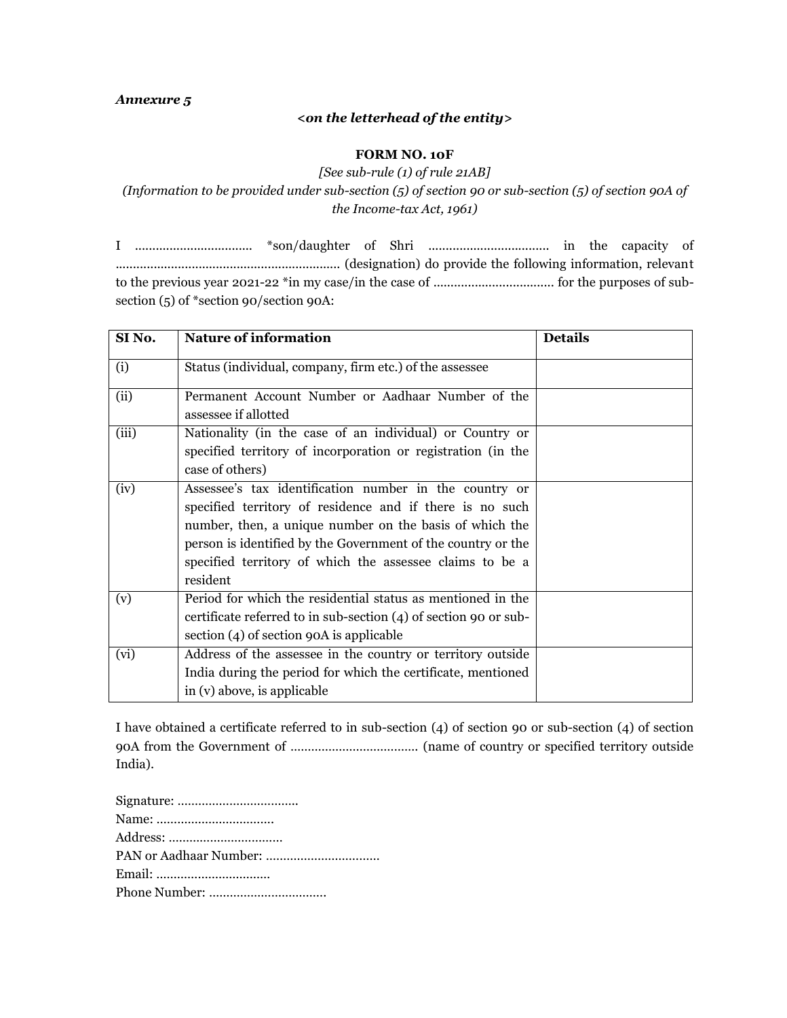## *<on the letterhead of the entity>*

## **FORM NO. 10F**

*[See sub-rule (1) of rule 21AB] (Information to be provided under sub-section (5) of section 90 or sub-section (5) of section 90A of the Income-tax Act, 1961)*

I .................................. \*son/daughter of Shri ................................... in the capacity of ................................................................. (designation) do provide the following information, relevant to the previous year 2021-22 \*in my case/in the case of ................................... for the purposes of subsection (5) of \*section 90/section 90A:

| SI <sub>No.</sub> | <b>Nature of information</b>                                                                                                                                                                                                                                                                                          | <b>Details</b> |
|-------------------|-----------------------------------------------------------------------------------------------------------------------------------------------------------------------------------------------------------------------------------------------------------------------------------------------------------------------|----------------|
| (i)               | Status (individual, company, firm etc.) of the assessee                                                                                                                                                                                                                                                               |                |
| (ii)              | Permanent Account Number or Aadhaar Number of the<br>assessee if allotted                                                                                                                                                                                                                                             |                |
| (iii)             | Nationality (in the case of an individual) or Country or<br>specified territory of incorporation or registration (in the<br>case of others)                                                                                                                                                                           |                |
| (iv)              | Assessee's tax identification number in the country or<br>specified territory of residence and if there is no such<br>number, then, a unique number on the basis of which the<br>person is identified by the Government of the country or the<br>specified territory of which the assessee claims to be a<br>resident |                |
| (v)               | Period for which the residential status as mentioned in the<br>certificate referred to in sub-section (4) of section 90 or sub-<br>section (4) of section 90A is applicable                                                                                                                                           |                |
| (vi)              | Address of the assessee in the country or territory outside<br>India during the period for which the certificate, mentioned<br>in (v) above, is applicable                                                                                                                                                            |                |

I have obtained a certificate referred to in sub-section (4) of section 90 or sub-section (4) of section 90A from the Government of ………………………………. (name of country or specified territory outside India).